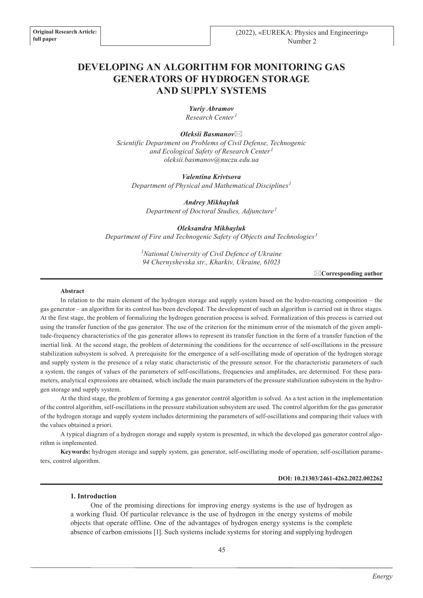# **DEVELOPING AN ALGORITHM FOR MONITORING GAS GENERATORS OF HYDROGEN STORAGE AND SUPPLY SYSTEMS**

*Yuriy Abramov Research Center <sup>1</sup>*

*Oleksii Basmanov*\* *Scientific Department on Problems of Civil Defense, Technogenic and Ecological Safety of Research Center<sup>1</sup> oleksii.basmanov@nuczu.edu.ua*

*Valentina Krivtsova Department of Physical and Mathematical Disciplines<sup>1</sup>*

*Andrey Mikhayluk Department of Doctoral Studies, Adjuncture<sup>1</sup>*

*Oleksandra Mikhayluk Department of Fire and Technogenic Safety of Objects and Technologies<sup>1</sup>*

> *1 National University of Civil Defence of Ukraine 94 Chernyshevska str., Kharkiv, Ukraine, 61023*

> > \***Corresponding author**

#### **Abstract**

In relation to the main element of the hydrogen storage and supply system based on the hydro-reacting composition – the gas generator – an algorithm for its control has been developed. The development of such an algorithm is carried out in three stages. At the first stage, the problem of formalizing the hydrogen generation process is solved. Formalization of this process is carried out using the transfer function of the gas generator. The use of the criterion for the minimum error of the mismatch of the given amplitude-frequency characteristics of the gas generator allows to represent its transfer function in the form of a transfer function of the inertial link. At the second stage, the problem of determining the conditions for the occurrence of self-oscillations in the pressure stabilization subsystem is solved. A prerequisite for the emergence of a self-oscillating mode of operation of the hydrogen storage and supply system is the presence of a relay static characteristic of the pressure sensor. For the characteristic parameters of such a system, the ranges of values of the parameters of self-oscillations, frequencies and amplitudes, are determined. For these parameters, analytical expressions are obtained, which include the main parameters of the pressure stabilization subsystem in the hydrogen storage and supply system.

At the third stage, the problem of forming a gas generator control algorithm is solved. As a test action in the implementation of the control algorithm, self-oscillations in the pressure stabilization subsystem are used. The control algorithm for the gas generator of the hydrogen storage and supply system includes determining the parameters of self-oscillations and comparing their values with the values obtained a priori.

A typical diagram of a hydrogen storage and supply system is presented, in which the developed gas generator control algorithm is implemented.

**Keywords:** hydrogen storage and supply system, gas generator, self-oscillating mode of operation, self-oscillation parameters, control algorithm.

#### **DOI: 10.21303/2461-4262.2022.002262**

#### **1. Introduction**

One of the promising directions for improving energy systems is the use of hydrogen as a working fluid. Of particular relevance is the use of hydrogen in the energy systems of mobile objects that operate offline. One of the advantages of hydrogen energy systems is the complete absence of carbon emissions [1]. Such systems include systems for storing and supplying hydrogen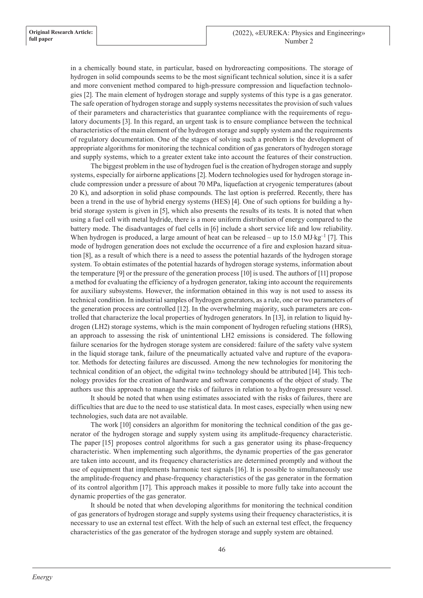in a chemically bound state, in particular, based on hydroreacting compositions. The storage of hydrogen in solid compounds seems to be the most significant technical solution, since it is a safer and more convenient method compared to high-pressure compression and liquefaction technologies [2]. The main element of hydrogen storage and supply systems of this type is a gas generator. The safe operation of hydrogen storage and supply systems necessitates the provision of such values of their parameters and characteristics that guarantee compliance with the requirements of regulatory documents [3]. In this regard, an urgent task is to ensure compliance between the technical characteristics of the main element of the hydrogen storage and supply system and the requirements of regulatory documentation. One of the stages of solving such a problem is the development of appropriate algorithms for monitoring the technical condition of gas generators of hydrogen storage and supply systems, which to a greater extent take into account the features of their construction.

The biggest problem in the use of hydrogen fuel is the creation of hydrogen storage and supply systems, especially for airborne applications [2]. Modern technologies used for hydrogen storage include compression under a pressure of about 70 MPa, liquefaction at cryogenic temperatures (about 20 K), and adsorption in solid phase compounds. The last option is preferred. Recently, there has been a trend in the use of hybrid energy systems (HES) [4]. One of such options for building a hybrid storage system is given in [5], which also presents the results of its tests. It is noted that when using a fuel cell with metal hydride, there is a more uniform distribution of energy compared to the battery mode. The disadvantages of fuel cells in [6] include a short service life and low reliability. When hydrogen is produced, a large amount of heat can be released – up to 15.0 MJ⋅kg<sup>-1</sup> [7]. This mode of hydrogen generation does not exclude the occurrence of a fire and explosion hazard situation [8], as a result of which there is a need to assess the potential hazards of the hydrogen storage system. To obtain estimates of the potential hazards of hydrogen storage systems, information about the temperature [9] or the pressure of the generation process [10] is used. The authors of [11] propose a method for evaluating the efficiency of a hydrogen generator, taking into account the requirements for auxiliary subsystems. However, the information obtained in this way is not used to assess its technical condition. In industrial samples of hydrogen generators, as a rule, one or two parameters of the generation process are controlled [12]. In the overwhelming majority, such parameters are controlled that characterize the local properties of hydrogen generators. In [13], in relation to liquid hydrogen (LH2) storage systems, which is the main component of hydrogen refueling stations (HRS), an approach to assessing the risk of unintentional LH2 emissions is considered. The following failure scenarios for the hydrogen storage system are considered: failure of the safety valve system in the liquid storage tank, failure of the pneumatically actuated valve and rupture of the evaporator. Methods for detecting failures are discussed. Among the new technologies for monitoring the technical condition of an object, the «digital twin» technology should be attributed [14]. This technology provides for the creation of hardware and software components of the object of study. The authors use this approach to manage the risks of failures in relation to a hydrogen pressure vessel.

It should be noted that when using estimates associated with the risks of failures, there are difficulties that are due to the need to use statistical data. In most cases, especially when using new technologies, such data are not available.

The work [10] considers an algorithm for monitoring the technical condition of the gas generator of the hydrogen storage and supply system using its amplitude-frequency characteristic. The paper [15] proposes control algorithms for such a gas generator using its phase-frequency characteristic. When implementing such algorithms, the dynamic properties of the gas generator are taken into account, and its frequency characteristics are determined promptly and without the use of equipment that implements harmonic test signals [16]. It is possible to simultaneously use the amplitude-frequency and phase-frequency characteristics of the gas generator in the formation of its control algorithm [17]. This approach makes it possible to more fully take into account the dynamic properties of the gas generator.

It should be noted that when developing algorithms for monitoring the technical condition of gas generators of hydrogen storage and supply systems using their frequency characteristics, it is necessary to use an external test effect. With the help of such an external test effect, the frequency characteristics of the gas generator of the hydrogen storage and supply system are obtained.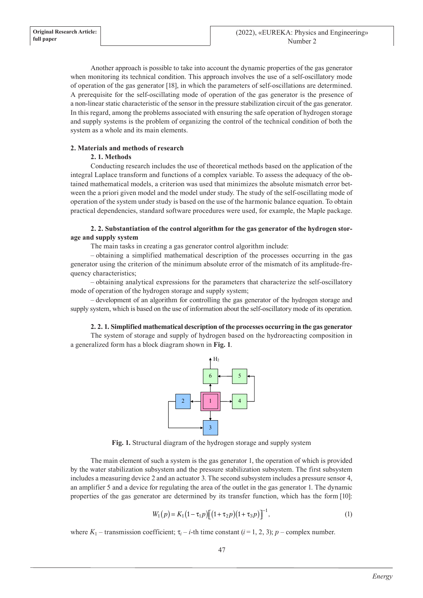Another approach is possible to take into account the dynamic properties of the gas generator when monitoring its technical condition. This approach involves the use of a self-oscillatory mode of operation of the gas generator [18], in which the parameters of self-oscillations are determined. A prerequisite for the self-oscillating mode of operation of the gas generator is the presence of a non-linear static characteristic of the sensor in the pressure stabilization circuit of the gas generator. In this regard, among the problems associated with ensuring the safe operation of hydrogen storage and supply systems is the problem of organizing the control of the technical condition of both the system as a whole and its main elements.

# **2. Materials and methods of research**

### **2. 1. Methods**

Conducting research includes the use of theoretical methods based on the application of the integral Laplace transform and functions of a complex variable. To assess the adequacy of the obtained mathematical models, a criterion was used that minimizes the absolute mismatch error between the a priori given model and the model under study. The study of the self-oscillating mode of operation of the system under study is based on the use of the harmonic balance equation. To obtain practical dependencies, standard software procedures were used, for example, the Maple package.

# **2. 2. Substantiation of the control algorithm for the gas generator of the hydrogen storage and supply system**

The main tasks in creating a gas generator control algorithm include:

– obtaining a simplified mathematical description of the processes occurring in the gas generator using the criterion of the minimum absolute error of the mismatch of its amplitude-frequency characteristics;

– obtaining analytical expressions for the parameters that characterize the self-oscillatory mode of operation of the hydrogen storage and supply system;

– development of an algorithm for controlling the gas generator of the hydrogen storage and supply system, which is based on the use of information about the self-oscillatory mode of its operation.

### **2. 2. 1. Simplified mathematical description of the processes occurring in the gas generator**

The system of storage and supply of hydrogen based on the hydroreacting composition in a generalized form has a block diagram shown in **Fig. 1**.



**Fig. 1.** Structural diagram of the hydrogen storage and supply system

The main element of such a system is the gas generator 1, the operation of which is provided by the water stabilization subsystem and the pressure stabilization subsystem. The first subsystem includes a measuring device 2 and an actuator 3. The second subsystem includes a pressure sensor 4, an amplifier 5 and a device for regulating the area of the outlet in the gas generator 1. The dynamic properties of the gas generator are determined by its transfer function, which has the form [10]:

$$
W_1(p) = K_1(1 - \tau_1 p) \left[ (1 + \tau_2 p)(1 + \tau_3 p) \right]^{-1},
$$
\n(1)

where  $K_1$  – transmission coefficient;  $\tau_i$  – *i*-th time constant (*i* = 1, 2, 3); *p* – complex number.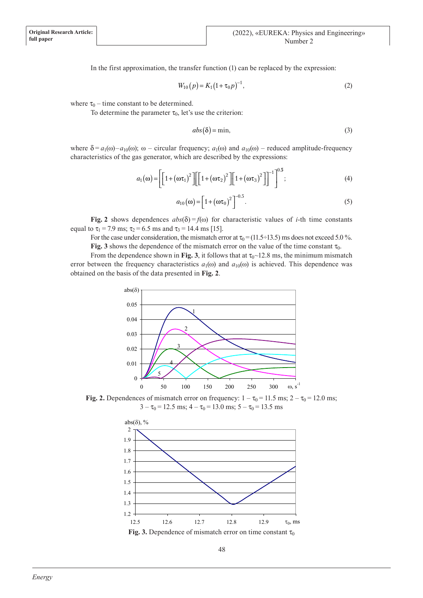In the first approximation, the transfer function (1) can be replaced by the expression:

$$
W_{10}(p) = K_1 (1 + \tau_0 p)^{-1}, \tag{2}
$$

where  $\tau_0$  – time constant to be determined.

To determine the parameter  $\tau_0$ , let's use the criterion:

$$
abs(\delta) = \min,\tag{3}
$$

where  $\delta = a_1(\omega) - a_{10}(\omega)$ ;  $\omega$  – circular frequency;  $a_1(\omega)$  and  $a_{10}(\omega)$  – reduced amplitude-frequency characteristics of the gas generator, which are described by the expressions:

$$
a_1(\omega) = \left[ \left[ 1 + (\omega \tau_1)^2 \right] \left[ \left[ 1 + (\omega \tau_2)^2 \right] \right] + (\omega \tau_3)^2 \right]^{-1} \right]^{0.5};
$$
\n(4)

$$
a_{10}(\omega) = \left[1 + (\omega \tau_0)^2\right]^{-0.5}.
$$
 (5)

**Fig. 2** shows dependences  $abs(\delta) = f(\omega)$  for characteristic values of *i*-th time constants equal to  $\tau_1$  = 7.9 ms;  $\tau_2$  = 6.5 ms and  $\tau_3$  = 14.4 ms [15].

For the case under consideration, the mismatch error at  $\tau_0$  = (11.5÷13.5) ms does not exceed 5.0 %. **Fig.** 3 shows the dependence of the mismatch error on the value of the time constant  $\tau_0$ .

From the dependence shown in **Fig. 3**, it follows that at  $\tau_0 \sim 12.8$  ms, the minimum mismatch error between the frequency characteristics  $a_1(\omega)$  and  $a_{10}(\omega)$  is achieved. This dependence was obtained on the basis of the data presented in **Fig. 2**.



**Fig. 2.** Dependences of mismatch error on frequency:  $1 - \tau_0 = 11.5$  ms;  $2 - \tau_0 = 12.0$  ms;  $3 - \tau_0 = 12.5$  ms;  $4 - \tau_0 = 13.0$  ms;  $5 - \tau_0 = 13.5$  ms

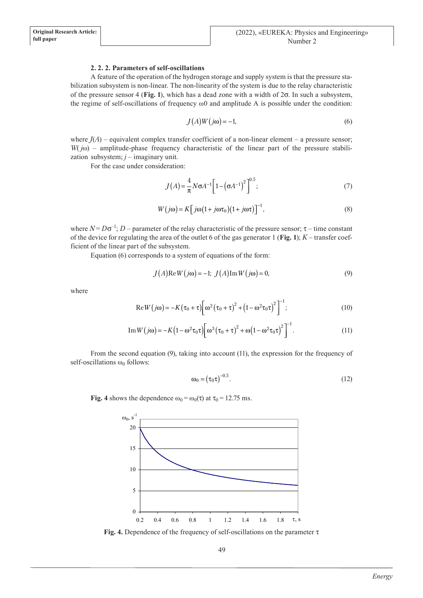# **2. 2. 2. Parameters of self-oscillations**

A feature of the operation of the hydrogen storage and supply system is that the pressure stabilization subsystem is non-linear. The non-linearity of the system is due to the relay characteristic of the pressure sensor 4 (**Fig. 1**), which has a dead zone with a width of 2s. In such a subsystem, the regime of self-oscillations of frequency  $\omega_0$  and amplitude A is possible under the condition:

$$
J(A)W(j\omega) = -1,\t(6)
$$

where  $J(A)$  – equivalent complex transfer coefficient of a non-linear element – a pressure sensor; *W*( $j$ ω) – amplitude-phase frequency characteristic of the linear part of the pressure stabilization subsystem;  $j$  – imaginary unit.

For the case under consideration:

$$
J(A) = \frac{4}{\pi} N \sigma A^{-1} \left[ 1 - \left( \sigma A^{-1} \right)^2 \right]^{0.5};
$$
\n(7)

$$
W(j\omega) = K \left[ j\omega \left( 1 + j\omega \tau_0 \right) \left( 1 + j\omega \tau \right) \right]^{-1},\tag{8}
$$

where  $N = D\sigma^{-1}$ ;  $D$  – parameter of the relay characteristic of the pressure sensor;  $\tau$  – time constant of the device for regulating the area of the outlet 6 of the gas generator 1 (**Fig. 1**);  $K$  – transfer coefficient of the linear part of the subsystem.

Equation (6) corresponds to a system of equations of the form:

$$
J(A)\text{Re}W(j\omega) = -1; J(A)\text{Im}W(j\omega) = 0,
$$
\n(9)

where

$$
\text{Re}\,W(j\omega) = -K(\tau_0 + \tau)\bigg[\omega^2(\tau_0 + \tau)^2 + (1 - \omega^2\tau_0\tau)^2\bigg]^{-1};\tag{10}
$$

Im 
$$
W(j\omega) = -K(1 - \omega^2 \tau_0 \tau) \left[\omega^3(\tau_0 + \tau)^2 + \omega(1 - \omega^2 \tau_0 \tau)^2\right]^{-1}
$$
. (11)

From the second equation (9), taking into account (11), the expression for the frequency of self-oscillations  $\omega_0$  follows:

$$
\omega_0 = \left(\tau_0 \tau\right)^{-0.5}.\tag{12}
$$

**Fig.** 4 shows the dependence  $\omega_0 = \omega_0(\tau)$  at  $\tau_0 = 12.75$  ms.



**Fig. 4.** Dependence of the frequency of self-oscillations on the parameter  $\tau$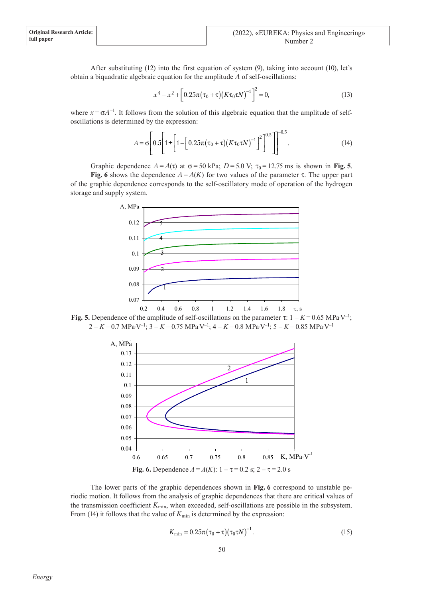After substituting (12) into the first equation of system (9), taking into account (10), let's obtain a biquadratic algebraic equation for the amplitude *A* of self-oscillations:

$$
x^4 - x^2 + \left[0.25\pi(\tau_0 + \tau)(K\tau_0 \tau N)^{-1}\right]^2 = 0,
$$
\n(13)

where  $x = \sigma A^{-1}$ . It follows from the solution of this algebraic equation that the amplitude of selfoscillations is determined by the expression:

$$
A = \sigma \left[ 0.5 \left[ 1 \pm \left[ 1 - \left[ 0.25 \pi (\tau_0 + \tau) (K \tau_0 \tau N)^{-1} \right]^2 \right]^{0.5} \right] \right]^{-0.5}.
$$
 (14)

Graphic dependence  $A = A(\tau)$  at  $\sigma = 50$  kPa;  $D = 5.0$  V;  $\tau_0 = 12.75$  ms is shown in Fig. 5.

**Fig.** 6 shows the dependence  $A = A(K)$  for two values of the parameter  $\tau$ . The upper part of the graphic dependence corresponds to the self-oscillatory mode of operation of the hydrogen storage and supply system.



**Fig. 5.** Dependence of the amplitude of self-oscillations on the parameter  $\tau$ :  $1 - K = 0.65 \text{ MPa-V}^{-1}$ ; 2 – *K* = 0.7 MPa⋅V–1; 3 – *K* = 0.75 MPa⋅V–1; 4 – *K* = 0.8 MPa⋅V–1; 5 – *K* = 0.85 MPa⋅V–1



The lower parts of the graphic dependences shown in **Fig. 6** correspond to unstable periodic motion. It follows from the analysis of graphic dependences that there are critical values of the transmission coefficient  $K_{\text{min}}$ , when exceeded, self-oscillations are possible in the subsystem. From (14) it follows that the value of  $K_{\text{min}}$  is determined by the expression:

$$
K_{\min} = 0.25\pi(\tau_0 + \tau)(\tau_0 \tau N)^{-1}.
$$
\n(15)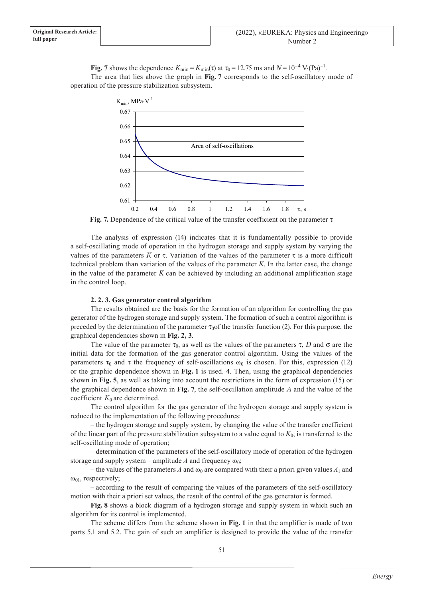**Fig.** 7 shows the dependence  $K_{\text{min}} = K_{\text{min}}(\tau)$  at  $\tau_0 = 12.75$  ms and  $N = 10^{-4}$  V⋅(Pa)<sup>-1</sup>. The area that lies above the graph in **Fig. 7** corresponds to the self-oscillatory mode of operation of the pressure stabilization subsystem.



**Fig.** 7. Dependence of the critical value of the transfer coefficient on the parameter  $\tau$ 

The analysis of expression (14) indicates that it is fundamentally possible to provide a self-oscillating mode of operation in the hydrogen storage and supply system by varying the values of the parameters *K* or  $\tau$ . Variation of the values of the parameter  $\tau$  is a more difficult technical problem than variation of the values of the parameter *K*. In the latter case, the change in the value of the parameter  $K$  can be achieved by including an additional amplification stage in the control loop.

### **2. 2. 3. Gas generator control algorithm**

The results obtained are the basis for the formation of an algorithm for controlling the gas generator of the hydrogen storage and supply system. The formation of such a control algorithm is preceded by the determination of the parameter  $\tau_0$  of the transfer function (2). For this purpose, the graphical dependencies shown in **Fig. 2, 3**.

The value of the parameter  $\tau_0$ , as well as the values of the parameters  $\tau$ , *D* and  $\sigma$  are the initial data for the formation of the gas generator control algorithm. Using the values of the parameters  $\tau_0$  and  $\tau$  the frequency of self-oscillations  $\omega_0$  is chosen. For this, expression (12) or the graphic dependence shown in **Fig. 1** is used. 4. Then, using the graphical dependencies shown in **Fig. 5**, as well as taking into account the restrictions in the form of expression (15) or the graphical dependence shown in **Fig. 7**, the self-oscillation amplitude *A* and the value of the coefficient  $K_0$  are determined.

The control algorithm for the gas generator of the hydrogen storage and supply system is reduced to the implementation of the following procedures:

– the hydrogen storage and supply system, by changing the value of the transfer coefficient of the linear part of the pressure stabilization subsystem to a value equal to  $K_0$ , is transferred to the self-oscillating mode of operation;

– determination of the parameters of the self-oscillatory mode of operation of the hydrogen storage and supply system – amplitude *A* and frequency  $\omega_0$ ;

– the values of the parameters *A* and  $\omega_0$  are compared with their a priori given values  $A_1$  and  $\omega_{01}$ , respectively;

– according to the result of comparing the values of the parameters of the self-oscillatory motion with their a priori set values, the result of the control of the gas generator is formed.

**Fig. 8** shows a block diagram of a hydrogen storage and supply system in which such an algorithm for its control is implemented.

The scheme differs from the scheme shown in **Fig. 1** in that the amplifier is made of two parts 5.1 and 5.2. The gain of such an amplifier is designed to provide the value of the transfer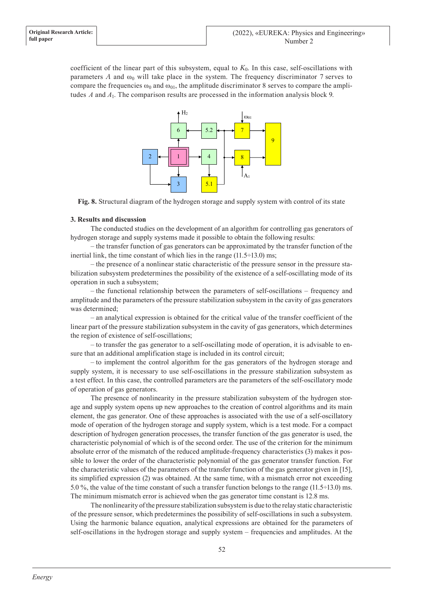coefficient of the linear part of this subsystem, equal to *K*0. In this case, self-oscillations with parameters *A* and  $\omega_0$  will take place in the system. The frequency discriminator 7 serves to compare the frequencies  $\omega_0$  and  $\omega_{01}$ , the amplitude discriminator 8 serves to compare the amplitudes *A* and *A*1. The comparison results are processed in the information analysis block 9.



**Fig. 8.** Structural diagram of the hydrogen storage and supply system with control of its state

### **3. Results and discussion**

The conducted studies on the development of an algorithm for controlling gas generators of hydrogen storage and supply systems made it possible to obtain the following results:

– the transfer function of gas generators can be approximated by the transfer function of the inertial link, the time constant of which lies in the range  $(11.5\div 13.0)$  ms;

– the presence of a nonlinear static characteristic of the pressure sensor in the pressure stabilization subsystem predetermines the possibility of the existence of a self-oscillating mode of its operation in such a subsystem;

– the functional relationship between the parameters of self-oscillations – frequency and amplitude and the parameters of the pressure stabilization subsystem in the cavity of gas generators was determined;

– an analytical expression is obtained for the critical value of the transfer coefficient of the linear part of the pressure stabilization subsystem in the cavity of gas generators, which determines the region of existence of self-oscillations;

– to transfer the gas generator to a self-oscillating mode of operation, it is advisable to ensure that an additional amplification stage is included in its control circuit;

– to implement the control algorithm for the gas generators of the hydrogen storage and supply system, it is necessary to use self-oscillations in the pressure stabilization subsystem as a test effect. In this case, the controlled parameters are the parameters of the self-oscillatory mode of operation of gas generators.

The presence of nonlinearity in the pressure stabilization subsystem of the hydrogen storage and supply system opens up new approaches to the creation of control algorithms and its main element, the gas generator. One of these approaches is associated with the use of a self-oscillatory mode of operation of the hydrogen storage and supply system, which is a test mode. For a compact description of hydrogen generation processes, the transfer function of the gas generator is used, the characteristic polynomial of which is of the second order. The use of the criterion for the minimum absolute error of the mismatch of the reduced amplitude-frequency characteristics (3) makes it possible to lower the order of the characteristic polynomial of the gas generator transfer function. For the characteristic values of the parameters of the transfer function of the gas generator given in [15], its simplified expression (2) was obtained. At the same time, with a mismatch error not exceeding 5.0 %, the value of the time constant of such a transfer function belongs to the range (11.5÷13.0) ms. The minimum mismatch error is achieved when the gas generator time constant is 12.8 ms.

The nonlinearity of the pressure stabilization subsystem is due to the relay static characteristic of the pressure sensor, which predetermines the possibility of self-oscillations in such a subsystem. Using the harmonic balance equation, analytical expressions are obtained for the parameters of self-oscillations in the hydrogen storage and supply system – frequencies and amplitudes. At the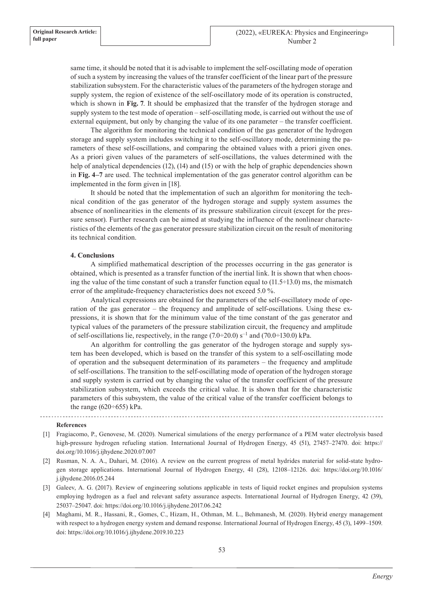same time, it should be noted that it is advisable to implement the self-oscillating mode of operation of such a system by increasing the values of the transfer coefficient of the linear part of the pressure stabilization subsystem. For the characteristic values of the parameters of the hydrogen storage and supply system, the region of existence of the self-oscillatory mode of its operation is constructed, which is shown in **Fig. 7**. It should be emphasized that the transfer of the hydrogen storage and supply system to the test mode of operation – self-oscillating mode, is carried out without the use of external equipment, but only by changing the value of its one parameter – the transfer coefficient.

The algorithm for monitoring the technical condition of the gas generator of the hydrogen storage and supply system includes switching it to the self-oscillatory mode, determining the parameters of these self-oscillations, and comparing the obtained values with a priori given ones. As a priori given values of the parameters of self-oscillations, the values determined with the help of analytical dependencies (12), (14) and (15) or with the help of graphic dependencies shown in **Fig. 4–7** are used. The technical implementation of the gas generator control algorithm can be implemented in the form given in [18].

It should be noted that the implementation of such an algorithm for monitoring the technical condition of the gas generator of the hydrogen storage and supply system assumes the absence of nonlinearities in the elements of its pressure stabilization circuit (except for the pressure sensor). Further research can be aimed at studying the influence of the nonlinear characteristics of the elements of the gas generator pressure stabilization circuit on the result of monitoring its technical condition.

#### **4. Conclusions**

A simplified mathematical description of the processes occurring in the gas generator is obtained, which is presented as a transfer function of the inertial link. It is shown that when choosing the value of the time constant of such a transfer function equal to  $(11.5\div 13.0)$  ms, the mismatch error of the amplitude-frequency characteristics does not exceed 5.0 %.

Analytical expressions are obtained for the parameters of the self-oscillatory mode of operation of the gas generator – the frequency and amplitude of self-oscillations. Using these expressions, it is shown that for the minimum value of the time constant of the gas generator and typical values of the parameters of the pressure stabilization circuit, the frequency and amplitude of self-oscillations lie, respectively, in the range  $(7.0\div 20.0)$  s<sup>-1</sup> and  $(70.0\div 130.0)$  kPa.

An algorithm for controlling the gas generator of the hydrogen storage and supply system has been developed, which is based on the transfer of this system to a self-oscillating mode of operation and the subsequent determination of its parameters – the frequency and amplitude of self-oscillations. The transition to the self-oscillating mode of operation of the hydrogen storage and supply system is carried out by changing the value of the transfer coefficient of the pressure stabilization subsystem, which exceeds the critical value. It is shown that for the characteristic parameters of this subsystem, the value of the critical value of the transfer coefficient belongs to the range  $(620 \div 655)$  kPa.

#### **References**

- [1] Fragiacomo, P., Genovese, M. (2020). Numerical simulations of the energy performance of a PEM water electrolysis based high-pressure hydrogen refueling station. International Journal of Hydrogen Energy, 45 (51), 27457–27470. doi: https:// doi.org/10.1016/j.ijhydene.2020.07.007
- [2] Rusman, N. A. A., Dahari, M. (2016). A review on the current progress of metal hydrides material for solid-state hydrogen storage applications. International Journal of Hydrogen Energy, 41 (28), 12108–12126. doi: https://doi.org/10.1016/ j.ijhydene.2016.05.244
- [3] Galeev, A. G. (2017). Review of engineering solutions applicable in tests of liquid rocket engines and propulsion systems employing hydrogen as a fuel and relevant safety assurance aspects. International Journal of Hydrogen Energy, 42 (39), 25037–25047. doi: https://doi.org/10.1016/j.ijhydene.2017.06.242
- [4] Maghami, M. R., Hassani, R., Gomes, C., Hizam, H., Othman, M. L., Behmanesh, M. (2020). Hybrid energy management with respect to a hydrogen energy system and demand response. International Journal of Hydrogen Energy, 45 (3), 1499–1509. doi: https://doi.org/10.1016/j.ijhydene.2019.10.223